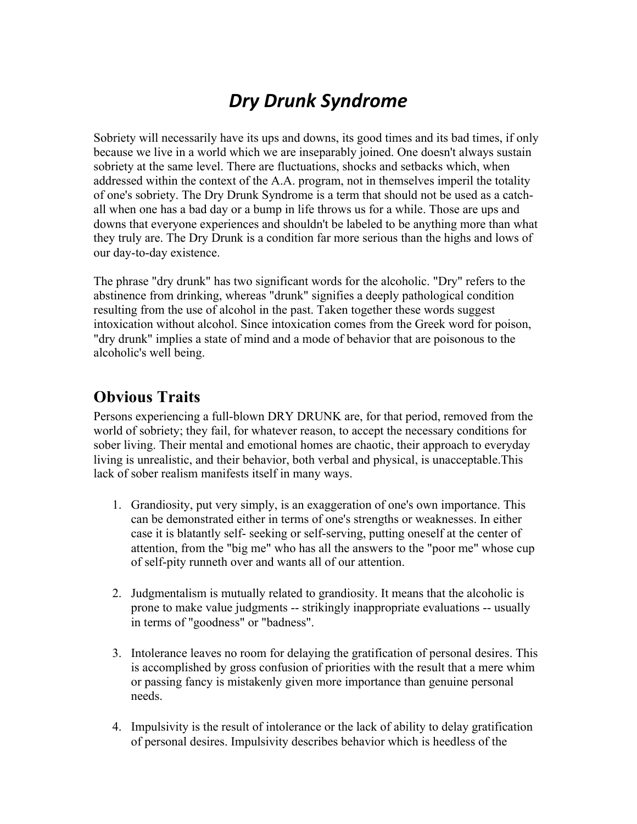## *Dry Drunk Syndrome*

Sobriety will necessarily have its ups and downs, its good times and its bad times, if only because we live in a world which we are inseparably joined. One doesn't always sustain sobriety at the same level. There are fluctuations, shocks and setbacks which, when addressed within the context of the A.A. program, not in themselves imperil the totality of one's sobriety. The Dry Drunk Syndrome is a term that should not be used as a catchall when one has a bad day or a bump in life throws us for a while. Those are ups and downs that everyone experiences and shouldn't be labeled to be anything more than what they truly are. The Dry Drunk is a condition far more serious than the highs and lows of our day-to-day existence.

The phrase "dry drunk" has two significant words for the alcoholic. "Dry" refers to the abstinence from drinking, whereas "drunk" signifies a deeply pathological condition resulting from the use of alcohol in the past. Taken together these words suggest intoxication without alcohol. Since intoxication comes from the Greek word for poison, "dry drunk" implies a state of mind and a mode of behavior that are poisonous to the alcoholic's well being.

## **Obvious Traits**

Persons experiencing a full-blown DRY DRUNK are, for that period, removed from the world of sobriety; they fail, for whatever reason, to accept the necessary conditions for sober living. Their mental and emotional homes are chaotic, their approach to everyday living is unrealistic, and their behavior, both verbal and physical, is unacceptable.This lack of sober realism manifests itself in many ways.

- 1. Grandiosity, put very simply, is an exaggeration of one's own importance. This can be demonstrated either in terms of one's strengths or weaknesses. In either case it is blatantly self- seeking or self-serving, putting oneself at the center of attention, from the "big me" who has all the answers to the "poor me" whose cup of self-pity runneth over and wants all of our attention.
- 2. Judgmentalism is mutually related to grandiosity. It means that the alcoholic is prone to make value judgments -- strikingly inappropriate evaluations -- usually in terms of "goodness" or "badness".
- 3. Intolerance leaves no room for delaying the gratification of personal desires. This is accomplished by gross confusion of priorities with the result that a mere whim or passing fancy is mistakenly given more importance than genuine personal needs.
- 4. Impulsivity is the result of intolerance or the lack of ability to delay gratification of personal desires. Impulsivity describes behavior which is heedless of the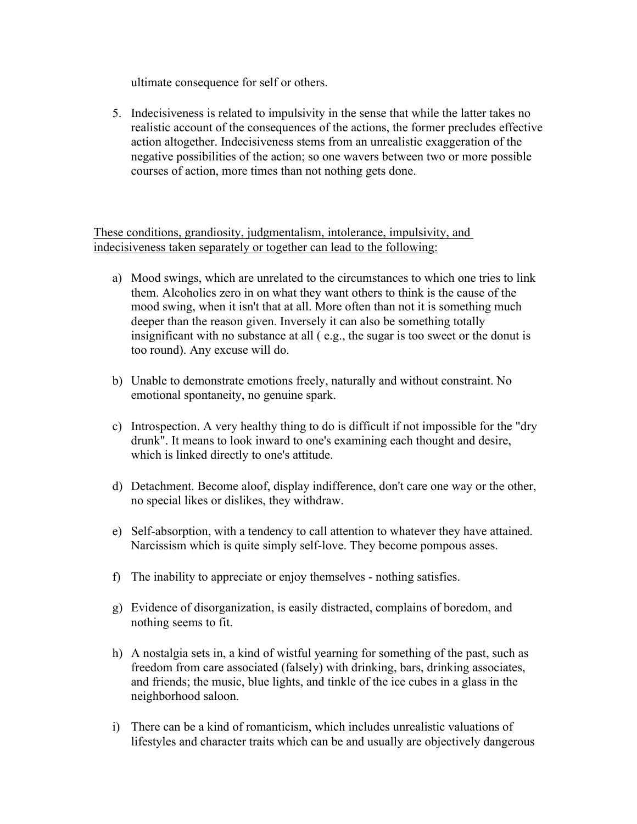ultimate consequence for self or others.

5. Indecisiveness is related to impulsivity in the sense that while the latter takes no realistic account of the consequences of the actions, the former precludes effective action altogether. Indecisiveness stems from an unrealistic exaggeration of the negative possibilities of the action; so one wavers between two or more possible courses of action, more times than not nothing gets done.

These conditions, grandiosity, judgmentalism, intolerance, impulsivity, and indecisiveness taken separately or together can lead to the following:

- a) Mood swings, which are unrelated to the circumstances to which one tries to link them. Alcoholics zero in on what they want others to think is the cause of the mood swing, when it isn't that at all. More often than not it is something much deeper than the reason given. Inversely it can also be something totally insignificant with no substance at all ( e.g., the sugar is too sweet or the donut is too round). Any excuse will do.
- b) Unable to demonstrate emotions freely, naturally and without constraint. No emotional spontaneity, no genuine spark.
- c) Introspection. A very healthy thing to do is difficult if not impossible for the "dry drunk". It means to look inward to one's examining each thought and desire, which is linked directly to one's attitude.
- d) Detachment. Become aloof, display indifference, don't care one way or the other, no special likes or dislikes, they withdraw.
- e) Self-absorption, with a tendency to call attention to whatever they have attained. Narcissism which is quite simply self-love. They become pompous asses.
- f) The inability to appreciate or enjoy themselves nothing satisfies.
- g) Evidence of disorganization, is easily distracted, complains of boredom, and nothing seems to fit.
- h) A nostalgia sets in, a kind of wistful yearning for something of the past, such as freedom from care associated (falsely) with drinking, bars, drinking associates, and friends; the music, blue lights, and tinkle of the ice cubes in a glass in the neighborhood saloon.
- i) There can be a kind of romanticism, which includes unrealistic valuations of lifestyles and character traits which can be and usually are objectively dangerous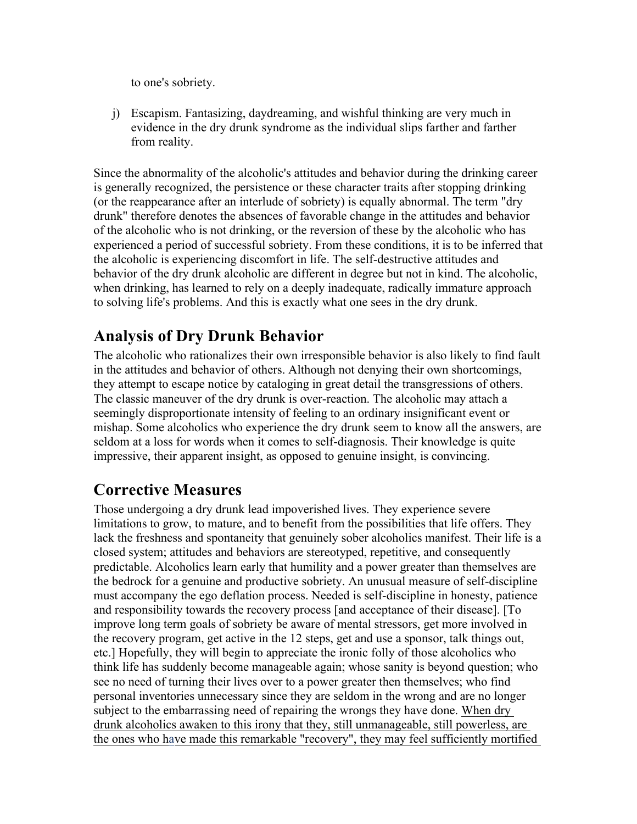to one's sobriety.

j) Escapism. Fantasizing, daydreaming, and wishful thinking are very much in evidence in the dry drunk syndrome as the individual slips farther and farther from reality.

Since the abnormality of the alcoholic's attitudes and behavior during the drinking career is generally recognized, the persistence or these character traits after stopping drinking (or the reappearance after an interlude of sobriety) is equally abnormal. The term "dry drunk" therefore denotes the absences of favorable change in the attitudes and behavior of the alcoholic who is not drinking, or the reversion of these by the alcoholic who has experienced a period of successful sobriety. From these conditions, it is to be inferred that the alcoholic is experiencing discomfort in life. The self-destructive attitudes and behavior of the dry drunk alcoholic are different in degree but not in kind. The alcoholic, when drinking, has learned to rely on a deeply inadequate, radically immature approach to solving life's problems. And this is exactly what one sees in the dry drunk.

## **Analysis of Dry Drunk Behavior**

The alcoholic who rationalizes their own irresponsible behavior is also likely to find fault in the attitudes and behavior of others. Although not denying their own shortcomings, they attempt to escape notice by cataloging in great detail the transgressions of others. The classic maneuver of the dry drunk is over-reaction. The alcoholic may attach a seemingly disproportionate intensity of feeling to an ordinary insignificant event or mishap. Some alcoholics who experience the dry drunk seem to know all the answers, are seldom at a loss for words when it comes to self-diagnosis. Their knowledge is quite impressive, their apparent insight, as opposed to genuine insight, is convincing.

## **Corrective Measures**

Those undergoing a dry drunk lead impoverished lives. They experience severe limitations to grow, to mature, and to benefit from the possibilities that life offers. They lack the freshness and spontaneity that genuinely sober alcoholics manifest. Their life is a closed system; attitudes and behaviors are stereotyped, repetitive, and consequently predictable. Alcoholics learn early that humility and a power greater than themselves are the bedrock for a genuine and productive sobriety. An unusual measure of self-discipline must accompany the ego deflation process. Needed is self-discipline in honesty, patience and responsibility towards the recovery process [and acceptance of their disease]. [To improve long term goals of sobriety be aware of mental stressors, get more involved in the recovery program, get active in the 12 steps, get and use a sponsor, talk things out, etc.] Hopefully, they will begin to appreciate the ironic folly of those alcoholics who think life has suddenly become manageable again; whose sanity is beyond question; who see no need of turning their lives over to a power greater then themselves; who find personal inventories unnecessary since they are seldom in the wrong and are no longer subject to the embarrassing need of repairing the wrongs they have done. When dry drunk alcoholics awaken to this irony that they, still unmanageable, still powerless, are the ones who have made this remarkable "recovery", they may feel sufficiently mortified